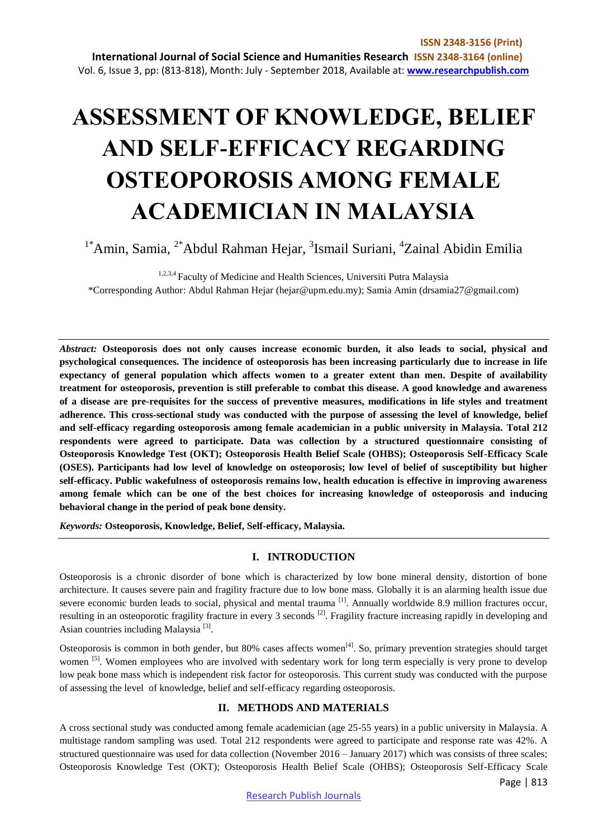# **ASSESSMENT OF KNOWLEDGE, BELIEF AND SELF-EFFICACY REGARDING OSTEOPOROSIS AMONG FEMALE ACADEMICIAN IN MALAYSIA**

<sup>1\*</sup>Amin, Samia, <sup>2\*</sup>Abdul Rahman Hejar, <sup>3</sup>Ismail Suriani, <sup>4</sup>Zainal Abidin Emilia

<sup>1,2,3,4</sup> Faculty of Medicine and Health Sciences, Universiti Putra Malaysia \*Corresponding Author: Abdul Rahman Hejar (hejar@upm.edu.my); Samia Amin (drsamia27@gmail.com)

*Abstract:* **Osteoporosis does not only causes increase economic burden, it also leads to social, physical and psychological consequences. The incidence of osteoporosis has been increasing particularly due to increase in life expectancy of general population which affects women to a greater extent than men. Despite of availability treatment for osteoporosis, prevention is still preferable to combat this disease. A good knowledge and awareness of a disease are pre-requisites for the success of preventive measures, modifications in life styles and treatment adherence. This cross-sectional study was conducted with the purpose of assessing the level of knowledge, belief and self-efficacy regarding osteoporosis among female academician in a public university in Malaysia. Total 212 respondents were agreed to participate. Data was collection by a structured questionnaire consisting of Osteoporosis Knowledge Test (OKT); Osteoporosis Health Belief Scale (OHBS); Osteoporosis Self-Efficacy Scale (OSES). Participants had low level of knowledge on osteoporosis; low level of belief of susceptibility but higher self-efficacy. Public wakefulness of osteoporosis remains low, health education is effective in improving awareness among female which can be one of the best choices for increasing knowledge of osteoporosis and inducing behavioral change in the period of peak bone density.**

*Keywords:* **Osteoporosis, Knowledge, Belief, Self-efficacy, Malaysia.** 

# **I. INTRODUCTION**

Osteoporosis is a chronic disorder of bone which is characterized by low bone mineral density, distortion of bone architecture. It causes severe pain and fragility fracture due to low bone mass. Globally it is an alarming health issue due severe economic burden leads to social, physical and mental trauma [1]. Annually worldwide 8.9 million fractures occur, resulting in an osteoporotic fragility fracture in every 3 seconds <sup>[2]</sup>. Fragility fracture increasing rapidly in developing and Asian countries including Malaysia<sup>[3]</sup>.

Osteoporosis is common in both gender, but 80% cases affects women<sup>[4]</sup>. So, primary prevention strategies should target women <sup>[5]</sup>. Women employees who are involved with sedentary work for long term especially is very prone to develop low peak bone mass which is independent risk factor for osteoporosis. This current study was conducted with the purpose of assessing the level of knowledge, belief and self-efficacy regarding osteoporosis.

#### **II. METHODS AND MATERIALS**

A cross sectional study was conducted among female academician (age 25-55 years) in a public university in Malaysia. A multistage random sampling was used. Total 212 respondents were agreed to participate and response rate was 42%. A structured questionnaire was used for data collection (November 2016 – January 2017) which was consists of three scales; Osteoporosis Knowledge Test (OKT); Osteoporosis Health Belief Scale (OHBS); Osteoporosis Self-Efficacy Scale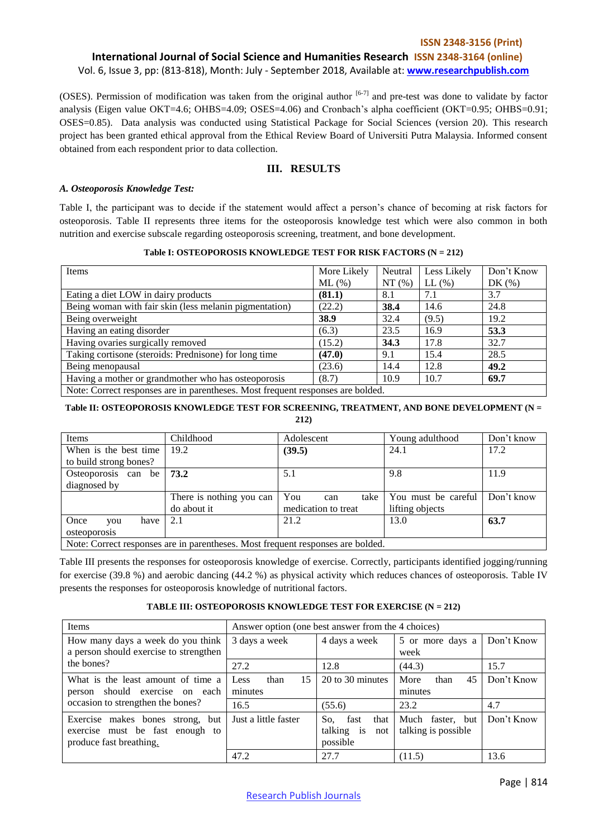## **ISSN 2348-3156 (Print) International Journal of Social Science and Humanities Research ISSN 2348-3164 (online)** Vol. 6, Issue 3, pp: (813-818), Month: July - September 2018, Available at: **www.researchpublish.com**

(OSES). Permission of modification was taken from the original author  $[6-7]$  and pre-test was done to validate by factor analysis (Eigen value OKT=4.6; OHBS=4.09; OSES=4.06) and Cronbach's alpha coefficient (OKT=0.95; OHBS=0.91; OSES=0.85). Data analysis was conducted using Statistical Package for Social Sciences (version 20). This research project has been granted ethical approval from the Ethical Review Board of Universiti Putra Malaysia. Informed consent obtained from each respondent prior to data collection.

# **III. RESULTS**

#### *A. Osteoporosis Knowledge Test:*

Table I, the participant was to decide if the statement would affect a person's chance of becoming at risk factors for osteoporosis. Table II represents three items for the osteoporosis knowledge test which were also common in both nutrition and exercise subscale regarding osteoporosis screening, treatment, and bone development.

**Table I: OSTEOPOROSIS KNOWLEDGE TEST FOR RISK FACTORS (N = 212)**

| Items                                                                           | More Likely | Neutral | Less Likely  | Don't Know |  |  |
|---------------------------------------------------------------------------------|-------------|---------|--------------|------------|--|--|
|                                                                                 | $ML$ (%)    | NT(%)   | $LL$ $(\% )$ | DK $(\%)$  |  |  |
| Eating a diet LOW in dairy products                                             | (81.1)      | 8.1     | 7.1          | 3.7        |  |  |
| Being woman with fair skin (less melanin pigmentation)                          | (22.2)      | 38.4    | 14.6         | 24.8       |  |  |
| Being overweight                                                                | 38.9        | 32.4    | (9.5)        | 19.2       |  |  |
| Having an eating disorder                                                       | (6.3)       | 23.5    | 16.9         | 53.3       |  |  |
| Having ovaries surgically removed                                               | (15.2)      | 34.3    | 17.8         | 32.7       |  |  |
| Taking cortisone (steroids: Prednisone) for long time                           | (47.0)      | 9.1     | 15.4         | 28.5       |  |  |
| Being menopausal                                                                | (23.6)      | 14.4    | 12.8         | 49.2       |  |  |
| Having a mother or grandmother who has osteoporosis                             | (8.7)       | 10.9    | 10.7         | 69.7       |  |  |
| Note: Correct responses are in parentheses. Most frequent responses are bolded. |             |         |              |            |  |  |

#### **Table II: OSTEOPOROSIS KNOWLEDGE TEST FOR SCREENING, TREATMENT, AND BONE DEVELOPMENT (N = 212)**

| Items                                                                          | Childhood                | Adolescent          | Young adulthood     | Don't know |  |
|--------------------------------------------------------------------------------|--------------------------|---------------------|---------------------|------------|--|
| When is the best time                                                          | 19.2                     | (39.5)              | 24.1                | 17.2       |  |
| to build strong bones?                                                         |                          |                     |                     |            |  |
| Osteoporosis can<br>be                                                         | 73.2                     | 5.1                 | 9.8                 | 11.9       |  |
| diagnosed by                                                                   |                          |                     |                     |            |  |
|                                                                                | There is nothing you can | You<br>take<br>can  | You must be careful | Don't know |  |
|                                                                                | do about it              | medication to treat | lifting objects     |            |  |
| Once<br>have<br>vou                                                            | 2.1                      | 21.2                | 13.0                | 63.7       |  |
| osteoporosis                                                                   |                          |                     |                     |            |  |
| Note: Correct responses are in parantheses. Most frequent responses are holded |                          |                     |                     |            |  |

sponses are in parentheses. Most frequent responses are bolded

Table III presents the responses for osteoporosis knowledge of exercise. Correctly, participants identified jogging/running for exercise (39.8 %) and aerobic dancing (44.2 %) as physical activity which reduces chances of osteoporosis. Table IV presents the responses for osteoporosis knowledge of nutritional factors.

#### **TABLE III: OSTEOPOROSIS KNOWLEDGE TEST FOR EXERCISE (N = 212)**

| Items                                                                                          | Answer option (one best answer from the 4 choices) |                                                         |                                         |            |  |
|------------------------------------------------------------------------------------------------|----------------------------------------------------|---------------------------------------------------------|-----------------------------------------|------------|--|
| How many days a week do you think<br>a person should exercise to strengthen                    | 3 days a week                                      | 4 days a week                                           | 5 or more days a<br>week                | Don't Know |  |
| the bones?                                                                                     | 27.2                                               | 12.8                                                    | (44.3)                                  | 15.7       |  |
| What is the least amount of time a<br>person should exercise on each                           | 15<br>than<br>Less<br>minutes                      | 20 to 30 minutes                                        | More<br>45<br>than<br>minutes           | Don't Know |  |
| occasion to strengthen the bones?                                                              | 16.5                                               | (55.6)                                                  | 23.2                                    | 4.7        |  |
| Exercise makes bones strong, but<br>exercise must be fast enough to<br>produce fast breathing. | Just a little faster                               | So.<br>that<br>fast<br>is<br>talking<br>not<br>possible | Much faster, but<br>talking is possible | Don't Know |  |
|                                                                                                | 47.2                                               | 27.7                                                    | (11.5)                                  | 13.6       |  |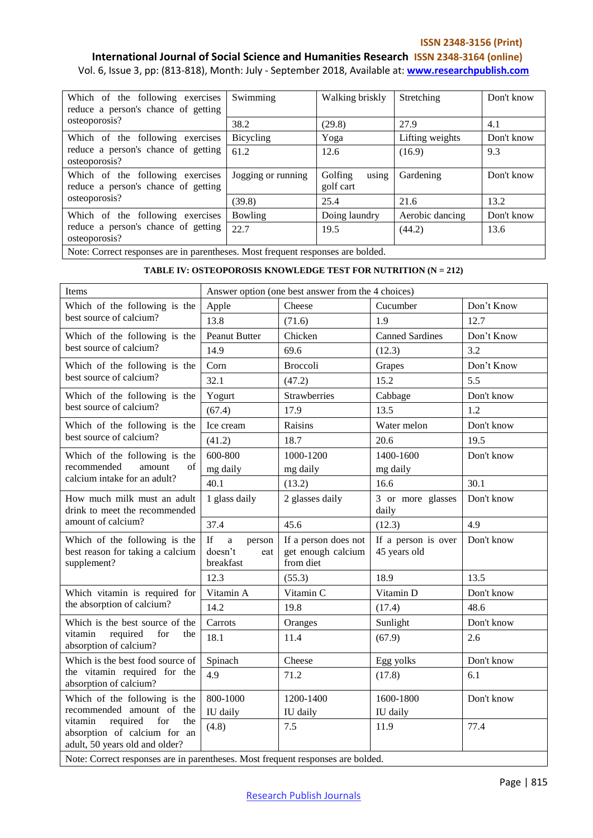#### **ISSN 2348-3156 (Print)**

# **International Journal of Social Science and Humanities Research ISSN 2348-3164 (online)**

Vol. 6, Issue 3, pp: (813-818), Month: July - September 2018, Available at: **www.researchpublish.com**

| Which of the following exercises<br>reduce a person's chance of getting         | Swimming           | Walking briskly               | Stretching      | Don't know |  |  |
|---------------------------------------------------------------------------------|--------------------|-------------------------------|-----------------|------------|--|--|
| osteoporosis?                                                                   | 38.2               | (29.8)                        | 27.9            | 4.1        |  |  |
| Which of the following exercises                                                | Bicycling          | Yoga                          | Lifting weights | Don't know |  |  |
| reduce a person's chance of getting<br>osteoporosis?                            | 61.2               | 12.6                          | (16.9)          | 9.3        |  |  |
| Which of the following exercises<br>reduce a person's chance of getting         | Jogging or running | using<br>Golfing<br>golf cart | Gardening       | Don't know |  |  |
| osteoporosis?                                                                   | (39.8)             | 25.4                          | 21.6            | 13.2       |  |  |
| Which of the following exercises                                                | Bowling            | Doing laundry                 | Aerobic dancing | Don't know |  |  |
| reduce a person's chance of getting<br>osteoporosis?                            | 22.7               | 19.5                          | (44.2)          | 13.6       |  |  |
| Note: Correct responses are in parentheses. Most frequent responses are bolded. |                    |                               |                 |            |  |  |

#### **TABLE IV: OSTEOPOROSIS KNOWLEDGE TEST FOR NUTRITION (N = 212)**

| Items                                                                                               | Answer option (one best answer from the 4 choices)                                                                                         |                                                         |                                     |            |  |  |
|-----------------------------------------------------------------------------------------------------|--------------------------------------------------------------------------------------------------------------------------------------------|---------------------------------------------------------|-------------------------------------|------------|--|--|
| Which of the following is the                                                                       | Apple                                                                                                                                      | Cheese                                                  | Cucumber                            | Don't Know |  |  |
| best source of calcium?                                                                             | 13.8                                                                                                                                       | (71.6)                                                  | 1.9                                 | 12.7       |  |  |
| Which of the following is the                                                                       | <b>Peanut Butter</b>                                                                                                                       | Chicken                                                 | <b>Canned Sardines</b>              | Don't Know |  |  |
| best source of calcium?                                                                             | 14.9                                                                                                                                       | 69.6                                                    | (12.3)                              | 3.2        |  |  |
| Which of the following is the                                                                       | Corn                                                                                                                                       | <b>Broccoli</b>                                         | Grapes                              | Don't Know |  |  |
| best source of calcium?                                                                             | 32.1                                                                                                                                       | (47.2)                                                  | 15.2                                | 5.5        |  |  |
| Which of the following is the                                                                       | Yogurt                                                                                                                                     | Strawberries                                            | Cabbage                             | Don't know |  |  |
| best source of calcium?                                                                             | (67.4)                                                                                                                                     | 17.9                                                    | 13.5                                | 1.2        |  |  |
| Which of the following is the                                                                       | Ice cream                                                                                                                                  | Raisins                                                 | Water melon                         | Don't know |  |  |
| best source of calcium?                                                                             | (41.2)                                                                                                                                     | 18.7                                                    | 20.6                                | 19.5       |  |  |
| Which of the following is the                                                                       | 600-800                                                                                                                                    | 1000-1200                                               | 1400-1600                           | Don't know |  |  |
| recommended<br>amount<br>of                                                                         | mg daily                                                                                                                                   | mg daily                                                | mg daily                            |            |  |  |
| calcium intake for an adult?                                                                        | 40.1                                                                                                                                       | (13.2)                                                  | 16.6                                | 30.1       |  |  |
| How much milk must an adult<br>drink to meet the recommended                                        | 1 glass daily                                                                                                                              | 2 glasses daily                                         | 3 or more glasses<br>daily          | Don't know |  |  |
| amount of calcium?                                                                                  | 37.4                                                                                                                                       | 45.6                                                    | (12.3)                              | 4.9        |  |  |
| Which of the following is the<br>best reason for taking a calcium<br>supplement?                    | $\mathbf{If}% =\mathbf{1}_{\mathbf{1}}\mathbf{1}_{\mathbf{2}}\mathbf{1}_{\mathbf{3}}$<br>$\rm{a}$<br>person<br>doesn't<br>eat<br>breakfast | If a person does not<br>get enough calcium<br>from diet | If a person is over<br>45 years old | Don't know |  |  |
|                                                                                                     | 12.3                                                                                                                                       | (55.3)                                                  | 18.9                                | 13.5       |  |  |
| Which vitamin is required for                                                                       | Vitamin A                                                                                                                                  | Vitamin C                                               | Vitamin D                           | Don't know |  |  |
| the absorption of calcium?                                                                          | 14.2                                                                                                                                       | 19.8                                                    | (17.4)                              | 48.6       |  |  |
| Which is the best source of the                                                                     | Carrots                                                                                                                                    | Oranges                                                 | Sunlight                            | Don't know |  |  |
| vitamin<br>required<br>for<br>the<br>absorption of calcium?                                         | 18.1                                                                                                                                       | 11.4                                                    | (67.9)                              | 2.6        |  |  |
| Which is the best food source of                                                                    | Spinach                                                                                                                                    | Cheese                                                  | Egg yolks                           | Don't know |  |  |
| the vitamin required for the<br>absorption of calcium?                                              | 4.9                                                                                                                                        | 71.2                                                    | (17.8)                              | 6.1        |  |  |
| Which of the following is the                                                                       | 800-1000                                                                                                                                   | 1200-1400                                               | 1600-1800                           | Don't know |  |  |
| recommended amount of the                                                                           | IU daily                                                                                                                                   | IU daily                                                | IU daily                            |            |  |  |
| vitamin<br>required<br>for<br>the<br>absorption of calcium for an<br>adult, 50 years old and older? | (4.8)                                                                                                                                      | 7.5                                                     | 11.9                                | 77.4       |  |  |
| Note: Correct responses are in parentheses. Most frequent responses are bolded.                     |                                                                                                                                            |                                                         |                                     |            |  |  |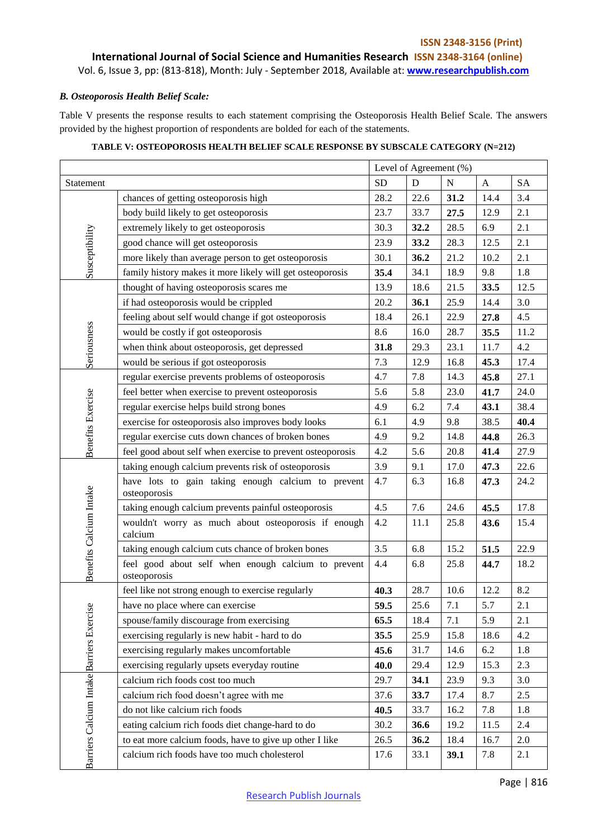# **ISSN 2348-3156 (Print) International Journal of Social Science and Humanities Research ISSN 2348-3164 (online)**

Vol. 6, Issue 3, pp: (813-818), Month: July - September 2018, Available at: **www.researchpublish.com**

## *B. Osteoporosis Health Belief Scale:*

Table V presents the response results to each statement comprising the Osteoporosis Health Belief Scale. The answers provided by the highest proportion of respondents are bolded for each of the statements.

|                                          |                                                                     | Level of Agreement (%) |      |           |      |      |
|------------------------------------------|---------------------------------------------------------------------|------------------------|------|-----------|------|------|
| Statement                                | <b>SD</b><br>D<br>$\mathbf N$<br>$\mathbf{A}$                       |                        |      | <b>SA</b> |      |      |
|                                          | chances of getting osteoporosis high                                | 28.2                   | 22.6 | 31.2      | 14.4 | 3.4  |
|                                          | body build likely to get osteoporosis                               | 23.7                   | 33.7 | 27.5      | 12.9 | 2.1  |
|                                          | extremely likely to get osteoporosis                                | 30.3                   | 32.2 | 28.5      | 6.9  | 2.1  |
|                                          | good chance will get osteoporosis                                   | 23.9                   | 33.2 | 28.3      | 12.5 | 2.1  |
| Susceptibility                           | more likely than average person to get osteoporosis                 | 30.1                   | 36.2 | 21.2      | 10.2 | 2.1  |
|                                          | family history makes it more likely will get osteoporosis           | 35.4                   | 34.1 | 18.9      | 9.8  | 1.8  |
|                                          | thought of having osteoporosis scares me                            | 13.9                   | 18.6 | 21.5      | 33.5 | 12.5 |
|                                          | if had osteoporosis would be crippled                               | 20.2                   | 36.1 | 25.9      | 14.4 | 3.0  |
|                                          | feeling about self would change if got osteoporosis                 | 18.4                   | 26.1 | 22.9      | 27.8 | 4.5  |
|                                          | would be costly if got osteoporosis                                 | 8.6                    | 16.0 | 28.7      | 35.5 | 11.2 |
| Seriousness                              | when think about osteoporosis, get depressed                        | 31.8                   | 29.3 | 23.1      | 11.7 | 4.2  |
|                                          | would be serious if got osteoporosis                                | 7.3                    | 12.9 | 16.8      | 45.3 | 17.4 |
|                                          | regular exercise prevents problems of osteoporosis                  | 4.7                    | 7.8  | 14.3      | 45.8 | 27.1 |
|                                          | feel better when exercise to prevent osteoporosis                   | 5.6                    | 5.8  | 23.0      | 41.7 | 24.0 |
|                                          | regular exercise helps build strong bones                           | 4.9                    | 6.2  | 7.4       | 43.1 | 38.4 |
| <b>Benefits Exercise</b>                 | exercise for osteoporosis also improves body looks                  | 6.1                    | 4.9  | 9.8       | 38.5 | 40.4 |
|                                          | regular exercise cuts down chances of broken bones                  | 4.9                    | 9.2  | 14.8      | 44.8 | 26.3 |
|                                          | feel good about self when exercise to prevent osteoporosis          | 4.2                    | 5.6  | 20.8      | 41.4 | 27.9 |
|                                          | taking enough calcium prevents risk of osteoporosis                 | 3.9                    | 9.1  | 17.0      | 47.3 | 22.6 |
|                                          | have lots to gain taking enough calcium to prevent<br>osteoporosis  | 4.7                    | 6.3  | 16.8      | 47.3 | 24.2 |
|                                          | taking enough calcium prevents painful osteoporosis                 | 4.5                    | 7.6  | 24.6      | 45.5 | 17.8 |
|                                          | wouldn't worry as much about osteoporosis if enough<br>calcium      | 4.2                    | 11.1 | 25.8      | 43.6 | 15.4 |
|                                          | taking enough calcium cuts chance of broken bones                   | 3.5                    | 6.8  | 15.2      | 51.5 | 22.9 |
| Benefits Calcium Intake                  | feel good about self when enough calcium to prevent<br>osteoporosis | 4.4                    | 6.8  | 25.8      | 44.7 | 18.2 |
|                                          | feel like not strong enough to exercise regularly                   | 40.3                   | 28.7 | 10.6      | 12.2 | 8.2  |
| ٥                                        | have no place where can exercise                                    | 59.5                   | 25.6 | 7.1       | 5.7  | 2.1  |
|                                          | spouse/family discourage from exercising                            | 65.5                   | 18.4 | 7.1       | 5.9  | 2.1  |
|                                          | exercising regularly is new habit - hard to do                      | 35.5                   | 25.9 | 15.8      | 18.6 | 4.2  |
|                                          | exercising regularly makes uncomfortable                            | 45.6                   | 31.7 | 14.6      | 6.2  | 1.8  |
|                                          | exercising regularly upsets everyday routine                        | 40.0                   | 29.4 | 12.9      | 15.3 | 2.3  |
|                                          | calcium rich foods cost too much                                    | 29.7                   | 34.1 | 23.9      | 9.3  | 3.0  |
|                                          | calcium rich food doesn't agree with me                             | 37.6                   | 33.7 | 17.4      | 8.7  | 2.5  |
|                                          | do not like calcium rich foods                                      | 40.5                   | 33.7 | 16.2      | 7.8  | 1.8  |
|                                          | eating calcium rich foods diet change-hard to do                    | 30.2                   | 36.6 | 19.2      | 11.5 | 2.4  |
|                                          | to eat more calcium foods, have to give up other I like             | 26.5                   | 36.2 | 18.4      | 16.7 | 2.0  |
| Barriers Calcium Intake Barriers Exercis | calcium rich foods have too much cholesterol                        | 17.6                   | 33.1 | 39.1      | 7.8  | 2.1  |

# **TABLE V: OSTEOPOROSIS HEALTH BELIEF SCALE RESPONSE BY SUBSCALE CATEGORY (N=212)**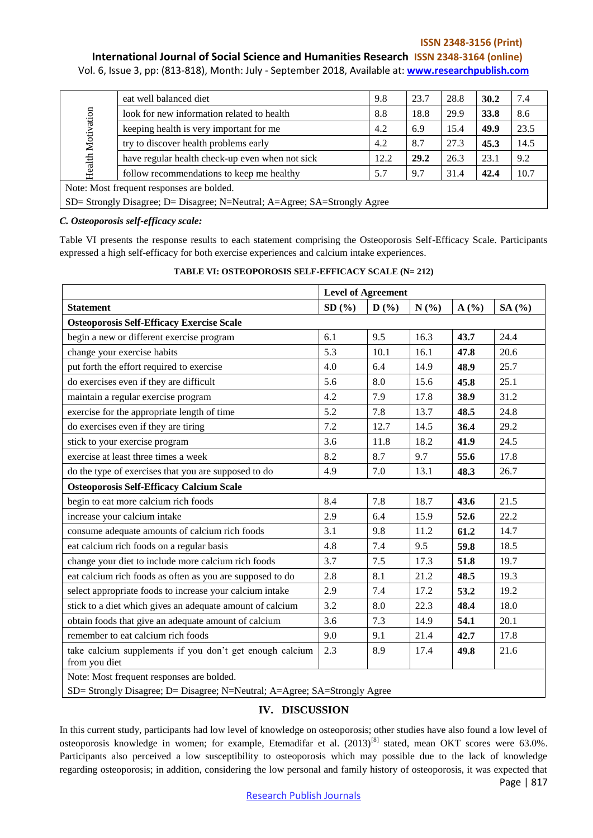#### **ISSN 2348-3156 (Print)**

# **International Journal of Social Science and Humanities Research ISSN 2348-3164 (online)**

Vol. 6, Issue 3, pp: (813-818), Month: July - September 2018, Available at: **www.researchpublish.com**

|                                                                           | eat well balanced diet                          | 9.8  | 23.7 | 28.8 | 30.2 | 7.4  |
|---------------------------------------------------------------------------|-------------------------------------------------|------|------|------|------|------|
|                                                                           | look for new information related to health      | 8.8  | 18.8 | 29.9 | 33.8 | 8.6  |
|                                                                           | keeping health is very important for me         | 4.2  | 6.9  | 15.4 | 49.9 | 23.5 |
|                                                                           | try to discover health problems early           | 4.2  | 8.7  | 27.3 | 45.3 | 14.5 |
| Health Motivation                                                         | have regular health check-up even when not sick | 12.2 | 29.2 | 26.3 | 23.1 | 9.2  |
|                                                                           | follow recommendations to keep me healthy       | 5.7  | 9.7  | 31.4 | 42.4 | 10.7 |
| Note: Most frequent responses are bolded.                                 |                                                 |      |      |      |      |      |
| SD= Strongly Disagree; D= Disagree; N=Neutral; A=Agree; SA=Strongly Agree |                                                 |      |      |      |      |      |

#### *C. Osteoporosis self-efficacy scale:*

Table VI presents the response results to each statement comprising the Osteoporosis Self-Efficacy Scale. Participants expressed a high self-efficacy for both exercise experiences and calcium intake experiences.

|                                                                                                                        | <b>Level of Agreement</b> |         |      |      |        |
|------------------------------------------------------------------------------------------------------------------------|---------------------------|---------|------|------|--------|
| <b>Statement</b>                                                                                                       | SD(%)                     | D(%)    | N(%) | A(%) | SA (%) |
| <b>Osteoporosis Self-Efficacy Exercise Scale</b>                                                                       |                           |         |      |      |        |
| begin a new or different exercise program                                                                              | 6.1                       | 9.5     | 16.3 | 43.7 | 24.4   |
| change your exercise habits                                                                                            | 5.3                       | 10.1    | 16.1 | 47.8 | 20.6   |
| put forth the effort required to exercise                                                                              | 4.0                       | 6.4     | 14.9 | 48.9 | 25.7   |
| do exercises even if they are difficult                                                                                | 5.6                       | 8.0     | 15.6 | 45.8 | 25.1   |
| maintain a regular exercise program                                                                                    | 4.2                       | 7.9     | 17.8 | 38.9 | 31.2   |
| exercise for the appropriate length of time                                                                            | 5.2                       | 7.8     | 13.7 | 48.5 | 24.8   |
| do exercises even if they are tiring                                                                                   | 7.2                       | 12.7    | 14.5 | 36.4 | 29.2   |
| stick to your exercise program                                                                                         | 3.6                       | 11.8    | 18.2 | 41.9 | 24.5   |
| exercise at least three times a week                                                                                   | 8.2                       | 8.7     | 9.7  | 55.6 | 17.8   |
| do the type of exercises that you are supposed to do                                                                   | 4.9                       | 7.0     | 13.1 | 48.3 | 26.7   |
| <b>Osteoporosis Self-Efficacy Calcium Scale</b>                                                                        |                           |         |      |      |        |
| begin to eat more calcium rich foods                                                                                   | 8.4                       | 7.8     | 18.7 | 43.6 | 21.5   |
| increase your calcium intake                                                                                           | 2.9                       | 6.4     | 15.9 | 52.6 | 22.2   |
| consume adequate amounts of calcium rich foods                                                                         | 3.1                       | 9.8     | 11.2 | 61.2 | 14.7   |
| eat calcium rich foods on a regular basis                                                                              | 4.8                       | 7.4     | 9.5  | 59.8 | 18.5   |
| change your diet to include more calcium rich foods                                                                    | 3.7                       | 7.5     | 17.3 | 51.8 | 19.7   |
| eat calcium rich foods as often as you are supposed to do                                                              | 2.8                       | 8.1     | 21.2 | 48.5 | 19.3   |
| select appropriate foods to increase your calcium intake                                                               | 2.9                       | 7.4     | 17.2 | 53.2 | 19.2   |
| stick to a diet which gives an adequate amount of calcium                                                              | 3.2                       | $8.0\,$ | 22.3 | 48.4 | 18.0   |
| obtain foods that give an adequate amount of calcium                                                                   | 3.6                       | 7.3     | 14.9 | 54.1 | 20.1   |
| remember to eat calcium rich foods                                                                                     | 9.0                       | 9.1     | 21.4 | 42.7 | 17.8   |
| take calcium supplements if you don't get enough calcium<br>from you diet                                              | 2.3                       | 8.9     | 17.4 | 49.8 | 21.6   |
| Note: Most frequent responses are bolded.<br>SD= Strongly Disagree; D= Disagree; N=Neutral; A=Agree; SA=Strongly Agree |                           |         |      |      |        |

# **TABLE VI: OSTEOPOROSIS SELF-EFFICACY SCALE (N= 212)**

# **IV. DISCUSSION**

Page | 817 In this current study, participants had low level of knowledge on osteoporosis; other studies have also found a low level of osteoporosis knowledge in women; for example, Etemadifar et al. (2013)<sup>[8]</sup> stated, mean OKT scores were 63.0%. Participants also perceived a low susceptibility to osteoporosis which may possible due to the lack of knowledge regarding osteoporosis; in addition, considering the low personal and family history of osteoporosis, it was expected that